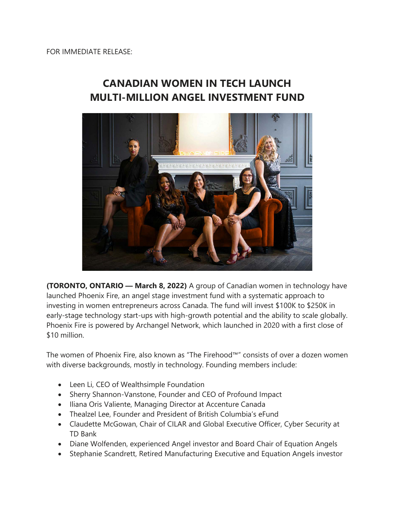## **CANADIAN WOMEN IN TECH LAUNCH MULTI-MILLION ANGEL INVESTMENT FUND**



**(TORONTO, ONTARIO — March 8, 2022)** A group of Canadian women in technology have launched Phoenix Fire, an angel stage investment fund with a systematic approach to investing in women entrepreneurs across Canada. The fund will invest \$100K to \$250K in early-stage technology start-ups with high-growth potential and the ability to scale globally. Phoenix Fire is powered by Archangel Network, which launched in 2020 with a first close of \$10 million.

The women of Phoenix Fire, also known as "The Firehood™" consists of over a dozen women with diverse backgrounds, mostly in technology. Founding members include:

- Leen Li, CEO of Wealthsimple Foundation
- Sherry Shannon-Vanstone, Founder and CEO of Profound Impact
- Iliana Oris Valiente, Managing Director at Accenture Canada
- Thealzel Lee, Founder and President of British Columbia's eFund
- Claudette McGowan, Chair of CILAR and Global Executive Officer, Cyber Security at TD Bank
- Diane Wolfenden, experienced Angel investor and Board Chair of Equation Angels
- Stephanie Scandrett, Retired Manufacturing Executive and Equation Angels investor